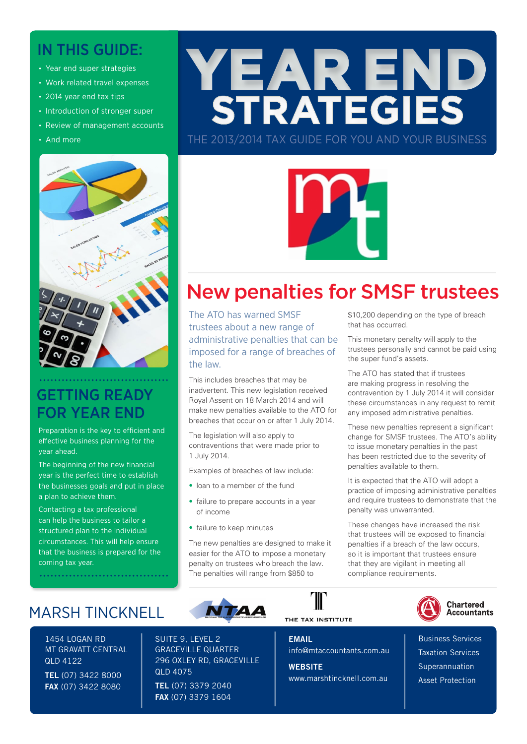# IN THIS GUIDE:

- Year end super strategies
- Work related travel expenses
- 2014 year end tax tips
- Introduction of stronger super
- Review of management accounts
- And more



# GETTING READY FOR YEAR END

Preparation is the key to efficient and effective business planning for the year ahead.

The beginning of the new financial year is the perfect time to establish the businesses goals and put in place a plan to achieve them.

Contacting a tax professional can help the business to tailor a structured plan to the individual circumstances. This will help ensure that the business is prepared for the coming tax year.

# MARSH TINCKNELL

. . . . . . . . . . . . . . . . . . . .

1454 LOGAN RD MT GRAVATT CENTRAL QLD 4122 TEL (07) 3422 8000 FAX (07) 3422 8080

SUITE 9, LEVEL 2 GRACEVILLE QUARTER 296 OXLEY RD, GRACEVILLE QLD 4075 TEL (07) 3379 2040 FAX (07) 3379 1604

# THE TAX INSTITUTE

**EMAIL** info@mtaccountants.com.au

THE 2013/2014 TAX GUIDE FOR YOU AND YOUR BUSINESS

YEAR END<br>STRATEGIES

**WEBSITE** www.marshtincknell.com.au

\$10,200 depending on the type of breach that has occurred.

This monetary penalty will apply to the trustees personally and cannot be paid using the super fund's assets.

The ATO has stated that if trustees are making progress in resolving the contravention by 1 July 2014 it will consider these circumstances in any request to remit any imposed administrative penalties.

These new penalties represent a significant change for SMSF trustees. The ATO's ability to issue monetary penalties in the past has been restricted due to the severity of penalties available to them.

It is expected that the ATO will adopt a practice of imposing administrative penalties and require trustees to demonstrate that the penalty was unwarranted.

These changes have increased the risk that trustees will be exposed to financial penalties if a breach of the law occurs, so it is important that trustees ensure that they are vigilant in meeting all compliance requirements.



**Chartered Accountants** 

Business Services Taxation Services Superannuation Asset Protection





administrative penalties that can be imposed for a range of breaches of the law. This includes breaches that may be

inadvertent. This new legislation received Royal Assent on 18 March 2014 and will make new penalties available to the ATO for breaches that occur on or after 1 July 2014.

The legislation will also apply to contraventions that were made prior to 1 July 2014.

Examples of breaches of law include:

- loan to a member of the fund
- failure to prepare accounts in a year of income
- failure to keep minutes

The new penalties are designed to make it easier for the ATO to impose a monetary penalty on trustees who breach the law. The penalties will range from \$850 to

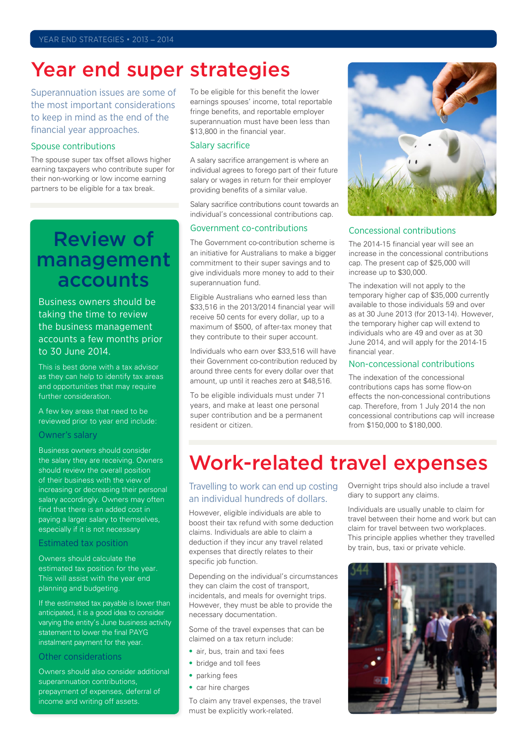# Year end super strategies

Superannuation issues are some of the most important considerations to keep in mind as the end of the financial year approaches.

### Spouse contributions

The spouse super tax offset allows higher earning taxpayers who contribute super for their non-working or low income earning partners to be eligible for a tax break.

# Review of management accounts

Business owners should be taking the time to review the business management accounts a few months prior to 30 June 2014.

This is best done with a tax advisor as they can help to identify tax areas and opportunities that may require further consideration.

A few key areas that need to be reviewed prior to year end include:

### Owner's salary

Business owners should consider the salary they are receiving. Owners should review the overall position of their business with the view of increasing or decreasing their personal salary accordingly. Owners may often find that there is an added cost in paying a larger salary to themselves, especially if it is not necessary

### Estimated tax position

Owners should calculate the estimated tax position for the year. This will assist with the year end planning and budgeting.

If the estimated tax payable is lower than anticipated, it is a good idea to consider varying the entity's June business activity statement to lower the final PAYG instalment payment for the year.

### Other considerations

Owners should also consider additional superannuation contributions, prepayment of expenses, deferral of income and writing off assets.

To be eligible for this benefit the lower earnings spouses' income, total reportable fringe benefits, and reportable employer superannuation must have been less than \$13,800 in the financial year.

### Salary sacrifice

A salary sacrifice arrangement is where an individual agrees to forego part of their future salary or wages in return for their employer providing benefits of a similar value.

Salary sacrifice contributions count towards an individual's concessional contributions cap.

# Government co-contributions

The Government co-contribution scheme is an initiative for Australians to make a bigger commitment to their super savings and to give individuals more money to add to their superannuation fund.

Eligible Australians who earned less than \$33,516 in the 2013/2014 financial year will receive 50 cents for every dollar, up to a maximum of \$500, of after-tax money that they contribute to their super account.

Individuals who earn over \$33,516 will have their Government co-contribution reduced by around three cents for every dollar over that amount, up until it reaches zero at \$48,516.

To be eligible individuals must under 71 years, and make at least one personal super contribution and be a permanent resident or citizen.



# Concessional contributions

The 2014-15 financial year will see an increase in the concessional contributions cap. The present cap of \$25,000 will increase up to \$30,000.

The indexation will not apply to the temporary higher cap of \$35,000 currently available to those individuals 59 and over as at 30 June 2013 (for 2013-14). However, the temporary higher cap will extend to individuals who are 49 and over as at 30 June 2014, and will apply for the 2014-15 financial year.

# Non-concessional contributions

The indexation of the concessional contributions caps has some flow-on effects the non-concessional contributions cap. Therefore, from 1 July 2014 the non concessional contributions cap will increase from \$150,000 to \$180,000.

# Work-related travel expenses

# Travelling to work can end up costing an individual hundreds of dollars.

However, eligible individuals are able to boost their tax refund with some deduction claims. Individuals are able to claim a deduction if they incur any travel related expenses that directly relates to their specific job function.

Depending on the individual's circumstances they can claim the cost of transport, incidentals, and meals for overnight trips. However, they must be able to provide the necessary documentation.

Some of the travel expenses that can be claimed on a tax return include:

- air, bus, train and taxi fees
- bridge and toll fees
- parking fees
- car hire charges

To claim any travel expenses, the travel must be explicitly work-related.

Overnight trips should also include a travel diary to support any claims.

Individuals are usually unable to claim for travel between their home and work but can claim for travel between two workplaces. This principle applies whether they travelled by train, bus, taxi or private vehicle.

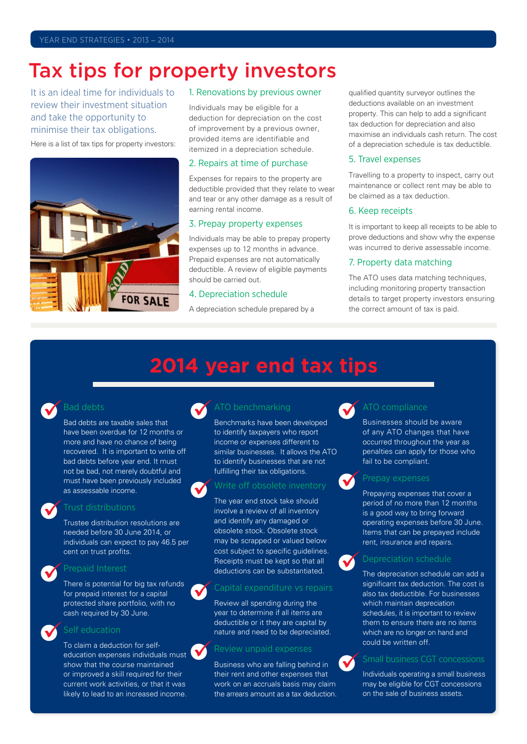# Tax tips for property investors

It is an ideal time for individuals to review their investment situation and take the opportunity to minimise their tax obligations.

Here is a list of tax tips for property investors:



### 1. Renovations by previous owner

Individuals may be eligible for a deduction for depreciation on the cost of improvement by a previous owner, provided items are identifiable and itemized in a depreciation schedule.

#### 2. Repairs at time of purchase

Expenses for repairs to the property are deductible provided that they relate to wear and tear or any other damage as a result of earning rental income.

### 3. Prepay property expenses

Individuals may be able to prepay property expenses up to 12 months in advance. Prepaid expenses are not automatically deductible. A review of eligible payments should be carried out.

### 4. Depreciation schedule

A depreciation schedule prepared by a

qualified quantity surveyor outlines the deductions available on an investment property. This can help to add a significant tax deduction for depreciation and also maximise an individuals cash return. The cost of a depreciation schedule is tax deductible.

### 5. Travel expenses

Travelling to a property to inspect, carry out maintenance or collect rent may be able to be claimed as a tax deduction.

### 6. Keep receipts

It is important to keep all receipts to be able to prove deductions and show why the expense was incurred to derive assessable income.

### 7. Property data matching

The ATO uses data matching techniques. including monitoring property transaction details to target property investors ensuring the correct amount of tax is paid.

# **2014 year end tax tips**



# Bad debts

Bad debts are taxable sales that have been overdue for 12 months or more and have no chance of being recovered. It is important to write off bad debts before year end. It must not be bad, not merely doubtful and must have been previously included as assessable income.



#### Trust distributions

Trustee distribution resolutions are needed before 30 June 2014, or individuals can expect to pay 46.5 per cent on trust profits.



#### Prepaid Interest

There is potential for big tax refunds for prepaid interest for a capital protected share portfolio, with no cash required by 30 June.



#### Self education

To claim a deduction for selfeducation expenses individuals must show that the course maintained or improved a skill required for their current work activities, or that it was likely to lead to an increased income.



# ATO benchmarking

Benchmarks have been developed to identify taxpayers who report income or expenses different to similar businesses. It allows the ATO to identify businesses that are not fulfilling their tax obligations.



# Write off obsolete inventory

The year end stock take should involve a review of all inventory and identify any damaged or obsolete stock. Obsolete stock may be scrapped or valued below cost subject to specific guidelines. Receipts must be kept so that all deductions can be substantiated.

### Capital expenditure vs repairs

Review all spending during the year to determine if all items are deductible or it they are capital by nature and need to be depreciated.

### Review unpaid expenses

Business who are falling behind in their rent and other expenses that work on an accruals basis may claim the arrears amount as a tax deduction.



### ATO compliance

Businesses should be aware of any ATO changes that have occurred throughout the year as penalties can apply for those who fail to be compliant.



Prepaying expenses that cover a period of no more than 12 months is a good way to bring forward operating expenses before 30 June. Items that can be prepayed include rent, insurance and repairs.

# $\checkmark$

# Depreciation schedule The depreciation schedule can add a

significant tax deduction. The cost is also tax deductible. For businesses which maintain depreciation schedules, it is important to review them to ensure there are no items which are no longer on hand and could be written off.



# Small business CGT concessions

Individuals operating a small business may be eligible for CGT concessions on the sale of business assets.